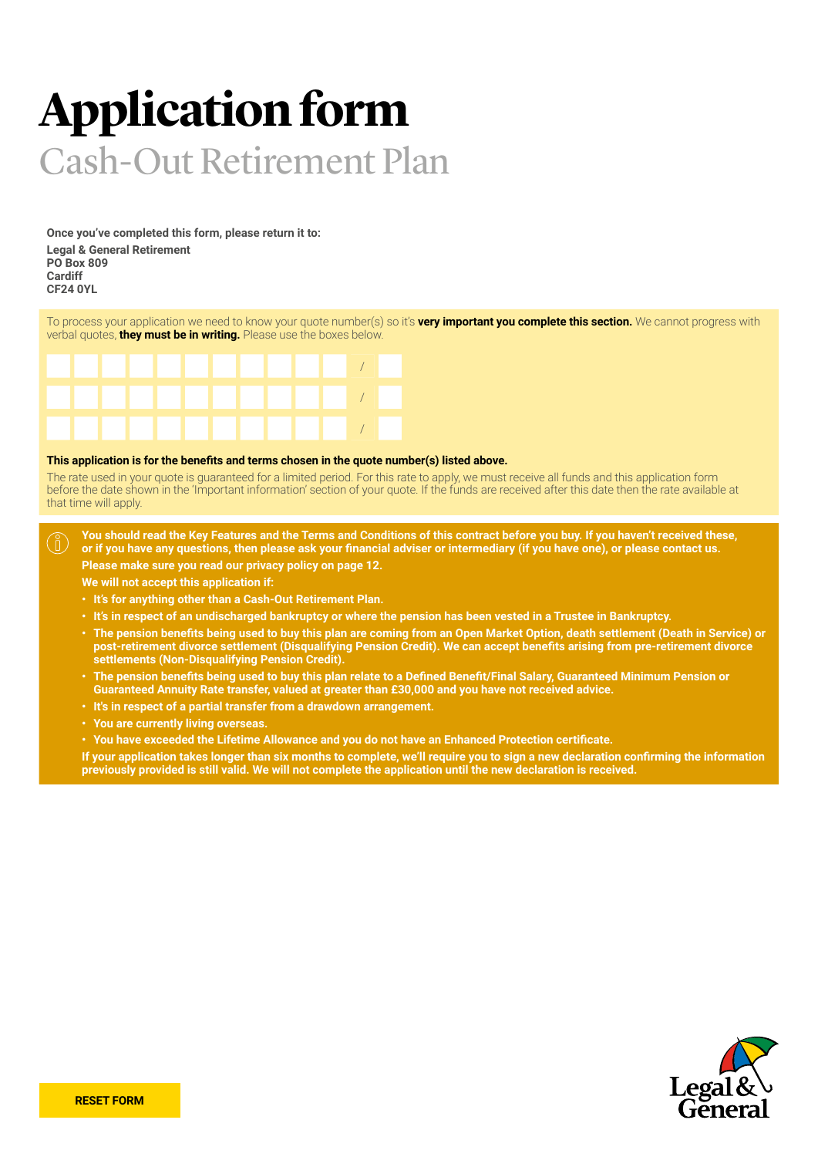# **Application form** Cash-Out Retirement Plan

**Once you've completed this form, please return it to: Legal & General Retirement PO Box 809 Cardiff CF24 0YL**

To process your application we need to know your quote number(s) so it's **very important you complete this section.** We cannot progress with verbal quotes, **they must be in writing.** Please use the boxes below.



#### **This application is for the benefits and terms chosen in the quote number(s) listed above.**

The rate used in your quote is guaranteed for a limited period. For this rate to apply, we must receive all funds and this application form before the date shown in the 'Important information' section of your quote. If the funds are received after this date then the rate available at that time will apply.

**You should read the Key Features and the Terms and Conditions of this contract before you buy. If you haven't received these,**   $\binom{8}{1}$ **or if you have any questions, then please ask your financial adviser or intermediary (if you have one), or please contact us. Please make sure you read our privacy policy on page 12.**

**We will not accept this application if:**

- **• It's for anything other than a Cash-Out Retirement Plan.**
- **• It's in respect of an undischarged bankruptcy or where the pension has been vested in a Trustee in Bankruptcy.**
- **• The pension benefits being used to buy this plan are coming from an Open Market Option, death settlement (Death in Service) or post-retirement divorce settlement (Disqualifying Pension Credit). We can accept benefits arising from pre-retirement divorce settlements (Non-Disqualifying Pension Credit).**
- **• The pension benefits being used to buy this plan relate to a Defined Benefit/Final Salary, Guaranteed Minimum Pension or Guaranteed Annuity Rate transfer, valued at greater than £30,000 and you have not received advice.**
- **• It's in respect of a partial transfer from a drawdown arrangement.**
- **• You are currently living overseas.**
- **• You have exceeded the Lifetime Allowance and you do not have an Enhanced Protection certificate.**

**If your application takes longer than six months to complete, we'll require you to sign a new declaration confirming the information previously provided is still valid. We will not complete the application until the new declaration is received.**

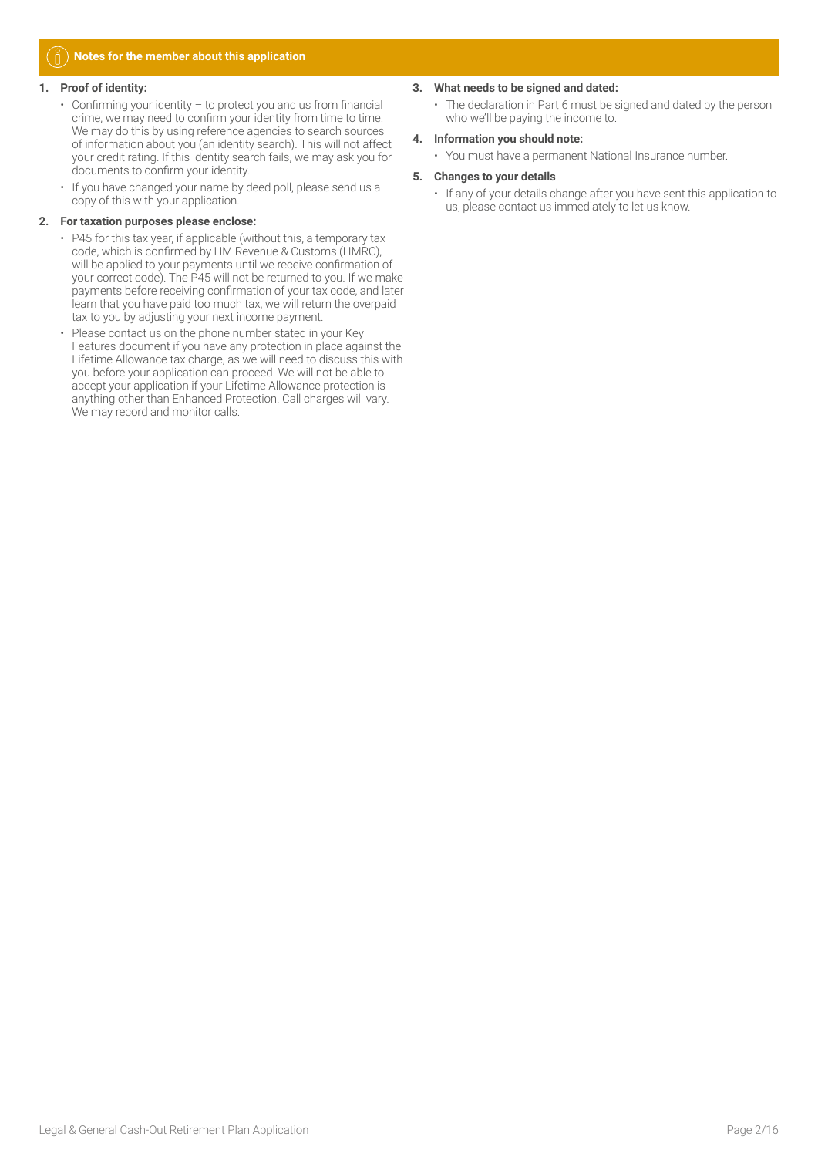#### **Notes for the member about this application**

#### **1. Proof of identity:**

- Confirming your identity to protect you and us from financial crime, we may need to confirm your identity from time to time. We may do this by using reference agencies to search sources of information about you (an identity search). This will not affect your credit rating. If this identity search fails, we may ask you for documents to confirm your identity.
- If you have changed your name by deed poll, please send us a copy of this with your application.

#### **2. For taxation purposes please enclose:**

- P45 for this tax year, if applicable (without this, a temporary tax code, which is confirmed by HM Revenue & Customs (HMRC), will be applied to your payments until we receive confirmation of your correct code). The P45 will not be returned to you. If we make payments before receiving confirmation of your tax code, and later learn that you have paid too much tax, we will return the overpaid tax to you by adjusting your next income payment.
- Please contact us on the phone number stated in your Key Features document if you have any protection in place against the Lifetime Allowance tax charge, as we will need to discuss this with you before your application can proceed. We will not be able to accept your application if your Lifetime Allowance protection is anything other than Enhanced Protection. Call charges will vary. We may record and monitor calls.

#### **3. What needs to be signed and dated:**

• The declaration in Part 6 must be signed and dated by the person who we'll be paying the income to.

#### **4. Information you should note:**

• You must have a permanent National Insurance number.

#### **5. Changes to your details**

• If any of your details change after you have sent this application to us, please contact us immediately to let us know.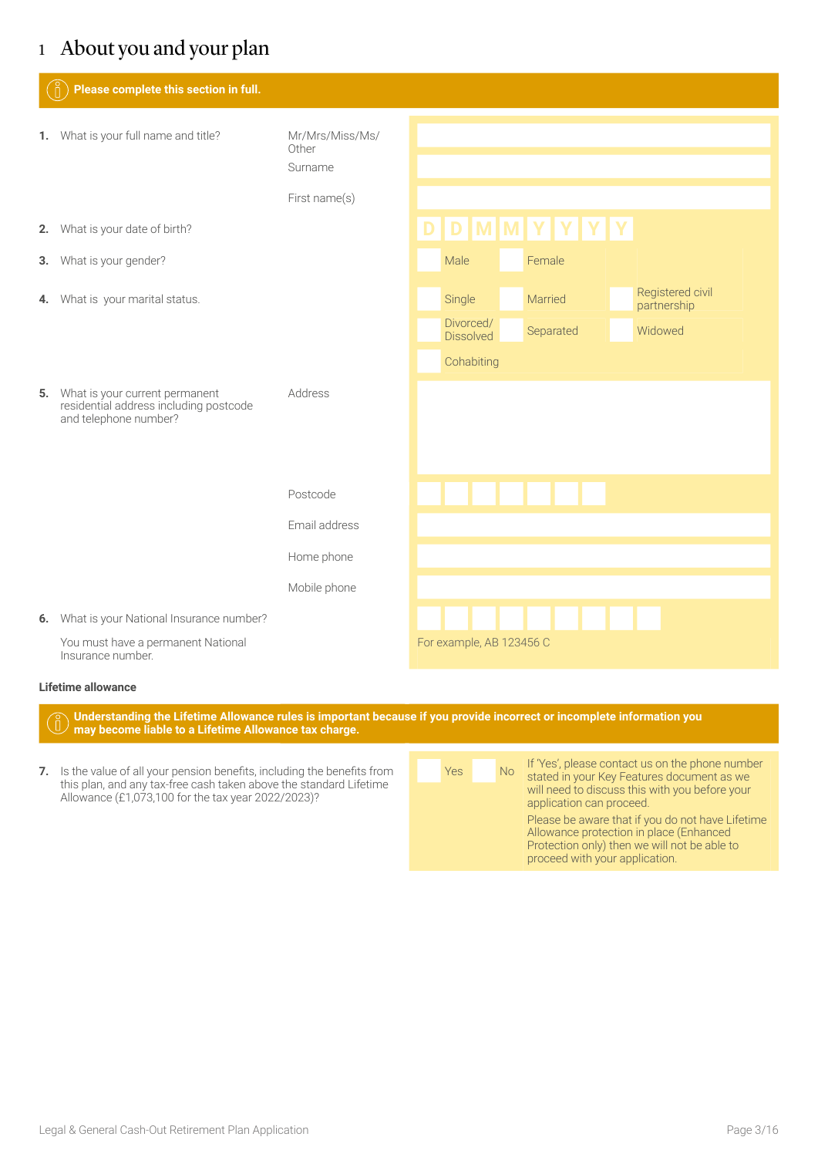### 1 About you and your plan

| Please complete this section in full.                                                                |                                                      |  |                                         |  |         |           |  |                                            |
|------------------------------------------------------------------------------------------------------|------------------------------------------------------|--|-----------------------------------------|--|---------|-----------|--|--------------------------------------------|
| 1. What is your full name and title?                                                                 | Mr/Mrs/Miss/Ms/<br>Other<br>Surname<br>First name(s) |  |                                         |  |         |           |  |                                            |
| 2. What is your date of birth?                                                                       |                                                      |  | D D M M Y Y Y Y                         |  |         |           |  |                                            |
| 3. What is your gender?                                                                              |                                                      |  | Male                                    |  | Female  |           |  |                                            |
| 4. What is your marital status.                                                                      |                                                      |  | Single<br>Divorced/<br><b>Dissolved</b> |  | Married | Separated |  | Registered civil<br>partnership<br>Widowed |
| 5. What is your current permanent<br>residential address including postcode<br>and telephone number? | Address                                              |  | Cohabiting                              |  |         |           |  |                                            |
|                                                                                                      | Postcode<br>Email address                            |  |                                         |  |         |           |  |                                            |
|                                                                                                      | Home phone                                           |  |                                         |  |         |           |  |                                            |
|                                                                                                      | Mobile phone                                         |  |                                         |  |         |           |  |                                            |
| 6. What is your National Insurance number?                                                           |                                                      |  |                                         |  |         |           |  |                                            |
| You must have a permanent National<br>Insurance number.                                              |                                                      |  | For example, AB 123456 C                |  |         |           |  |                                            |
| Lifetime allowance                                                                                   |                                                      |  |                                         |  |         |           |  |                                            |

**Understanding the Lifetime Allowance rules is important because if you provide incorrect or incomplete information you** 

**7.** Is the value of all your pension benefits, including the benefits from this plan, and any tax-free cash taken above the standard Lifetime

Allowance (£1,073,100 for the tax year 2022/2023)?

**may become liable to a Lifetime Allowance tax charge.**

| <b>Yes</b> | <b>No</b> | If 'Yes', please contact us on the phone number<br>stated in your Key Features document as we                                                                                 |
|------------|-----------|-------------------------------------------------------------------------------------------------------------------------------------------------------------------------------|
|            |           | will need to discuss this with you before your<br>application can proceed.                                                                                                    |
|            |           | Please be aware that if you do not have Lifetime<br>Allowance protection in place (Enhanced<br>Protection only) then we will not be able to<br>proceed with your application. |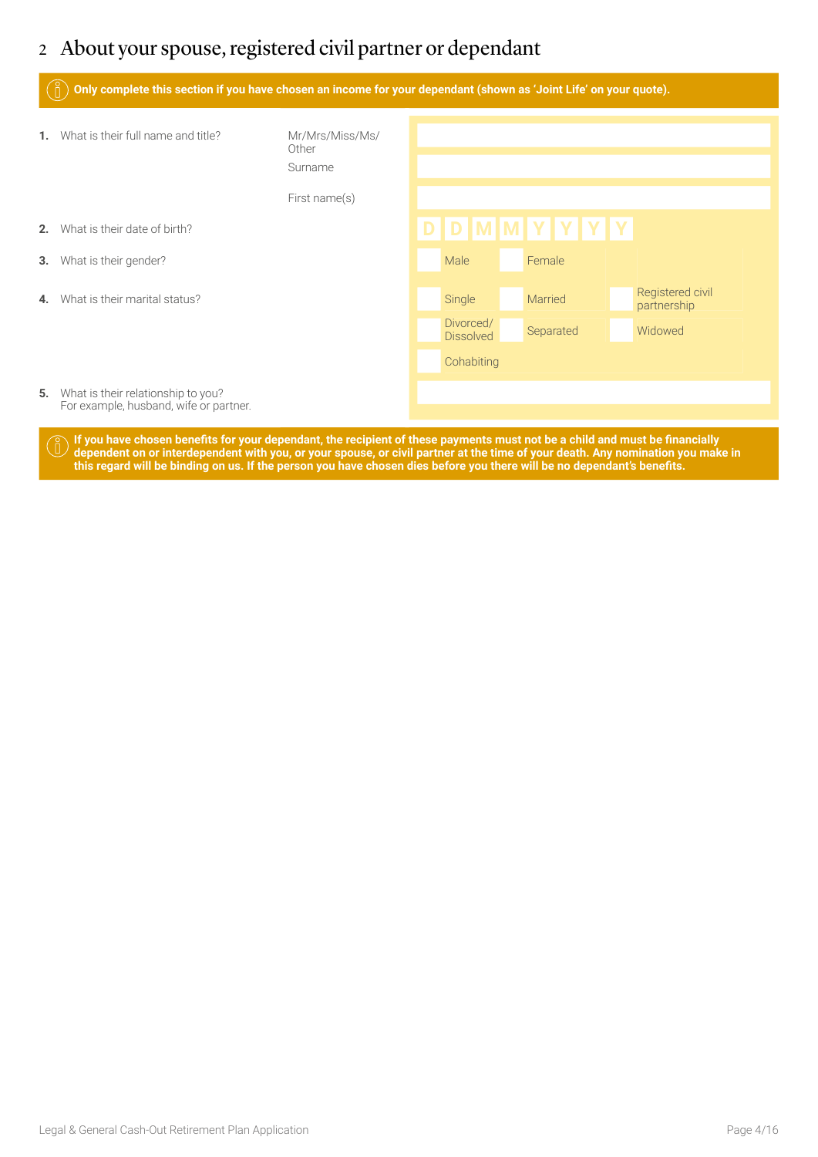### 2 About your spouse, registered civil partner or dependant

|    | Only complete this section if you have chosen an income for your dependant (shown as 'Joint Life' on your quote). |                                                      |  |                               |  |                 |  |                                 |  |
|----|-------------------------------------------------------------------------------------------------------------------|------------------------------------------------------|--|-------------------------------|--|-----------------|--|---------------------------------|--|
| 1. | What is their full name and title?                                                                                | Mr/Mrs/Miss/Ms/<br>Other<br>Surname<br>First name(s) |  |                               |  |                 |  |                                 |  |
| 2. | What is their date of birth?                                                                                      |                                                      |  |                               |  | D D M M Y Y Y Y |  |                                 |  |
| 3. | What is their gender?                                                                                             |                                                      |  | Male                          |  | Female          |  |                                 |  |
| 4. | What is their marital status?                                                                                     |                                                      |  | Single                        |  | Married         |  | Registered civil<br>partnership |  |
|    |                                                                                                                   |                                                      |  | Divorced/<br><b>Dissolved</b> |  | Separated       |  | Widowed                         |  |
|    |                                                                                                                   |                                                      |  | Cohabiting                    |  |                 |  |                                 |  |
| 5. | What is their relationship to you?<br>For example, husband, wife or partner.                                      |                                                      |  |                               |  |                 |  |                                 |  |

**If you have chosen benefits for your dependant, the recipient of these payments must not be a child and must be financially dependent on or interdependent with you, or your spouse, or civil partner at the time of your death. Any nomination you make in this regard will be binding on us. If the person you have chosen dies before you there will be no dependant's benefits.**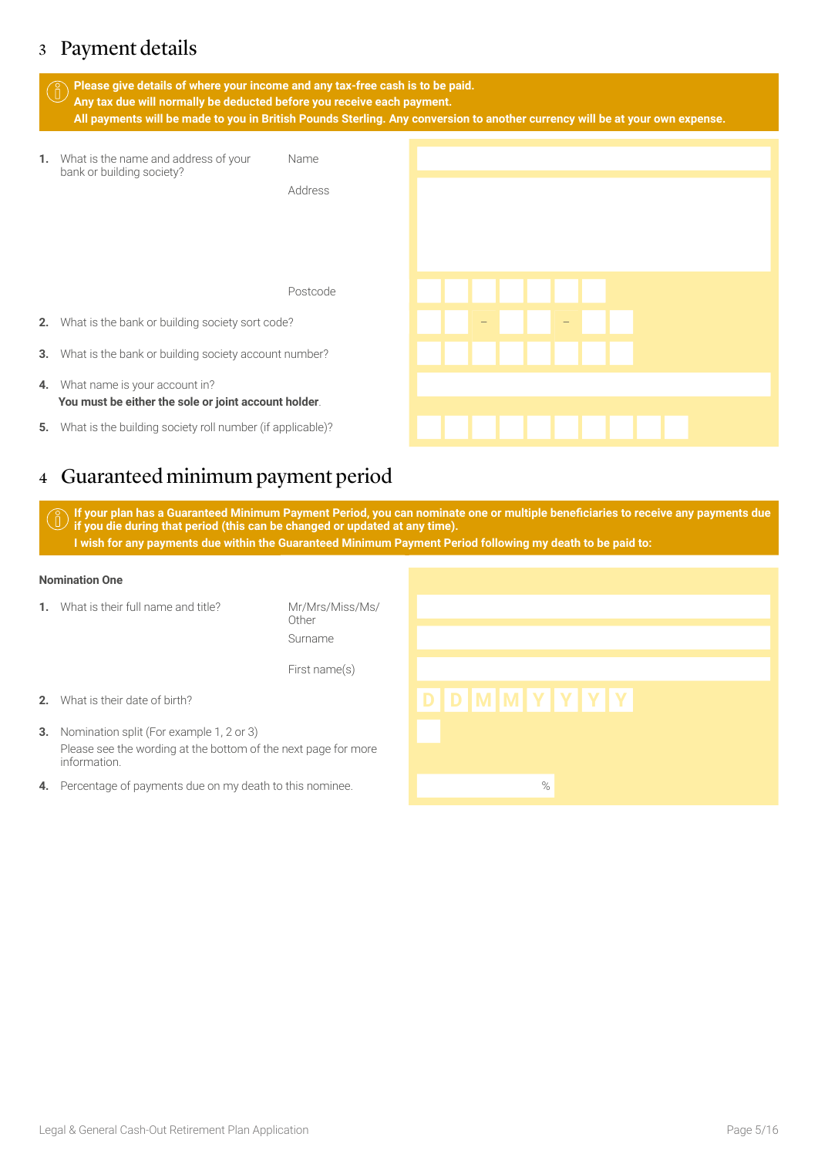### 3 Payment details

|    | Please give details of where your income and any tax-free cash is to be paid.<br>$\left[\begin{matrix} 0 \ 0 \end{matrix}\right]$<br>Any tax due will normally be deducted before you receive each payment.<br>All payments will be made to you in British Pounds Sterling. Any conversion to another currency will be at your own expense. |          |  |  |  |  |  |                   |  |  |  |  |  |
|----|---------------------------------------------------------------------------------------------------------------------------------------------------------------------------------------------------------------------------------------------------------------------------------------------------------------------------------------------|----------|--|--|--|--|--|-------------------|--|--|--|--|--|
|    |                                                                                                                                                                                                                                                                                                                                             |          |  |  |  |  |  |                   |  |  |  |  |  |
| 1. | What is the name and address of your                                                                                                                                                                                                                                                                                                        | Name     |  |  |  |  |  |                   |  |  |  |  |  |
|    | bank or building society?                                                                                                                                                                                                                                                                                                                   |          |  |  |  |  |  |                   |  |  |  |  |  |
|    |                                                                                                                                                                                                                                                                                                                                             | Address  |  |  |  |  |  |                   |  |  |  |  |  |
|    |                                                                                                                                                                                                                                                                                                                                             |          |  |  |  |  |  |                   |  |  |  |  |  |
|    |                                                                                                                                                                                                                                                                                                                                             |          |  |  |  |  |  |                   |  |  |  |  |  |
|    |                                                                                                                                                                                                                                                                                                                                             |          |  |  |  |  |  |                   |  |  |  |  |  |
|    |                                                                                                                                                                                                                                                                                                                                             |          |  |  |  |  |  |                   |  |  |  |  |  |
|    |                                                                                                                                                                                                                                                                                                                                             |          |  |  |  |  |  |                   |  |  |  |  |  |
|    |                                                                                                                                                                                                                                                                                                                                             | Postcode |  |  |  |  |  |                   |  |  |  |  |  |
|    |                                                                                                                                                                                                                                                                                                                                             |          |  |  |  |  |  |                   |  |  |  |  |  |
| 2. | What is the bank or building society sort code?                                                                                                                                                                                                                                                                                             |          |  |  |  |  |  | $\qquad \qquad -$ |  |  |  |  |  |
| 3. | What is the bank or building society account number?                                                                                                                                                                                                                                                                                        |          |  |  |  |  |  |                   |  |  |  |  |  |
|    |                                                                                                                                                                                                                                                                                                                                             |          |  |  |  |  |  |                   |  |  |  |  |  |

- **4.** What name is your account in? **You must be either the sole or joint account holder**.
- **5.** What is the building society roll number (if applicable)?

### 4 Guaranteed minimum payment period

- **If your plan has a Guaranteed Minimum Payment Period, you can nominate one or multiple beneficiaries to receive any payments due if you die during that period (this can be changed or updated at any time).**
	- **I wish for any payments due within the Guaranteed Minimum Payment Period following my death to be paid to:**

#### **Nomination One**

**1.** What is their full name and title? Mr/Mrs/Miss/Ms/

**Other** Surname First name(s)

**2.** What is their date of birth?

- **3.** Nomination split (For example 1, 2 or 3) Please see the wording at the bottom of the next page for more information.
- **4.** Percentage of payments due on my death to this nominee.

| D D M M Y Y Y Y Y |
|-------------------|
|                   |
|                   |
| $\%$              |

. . . . .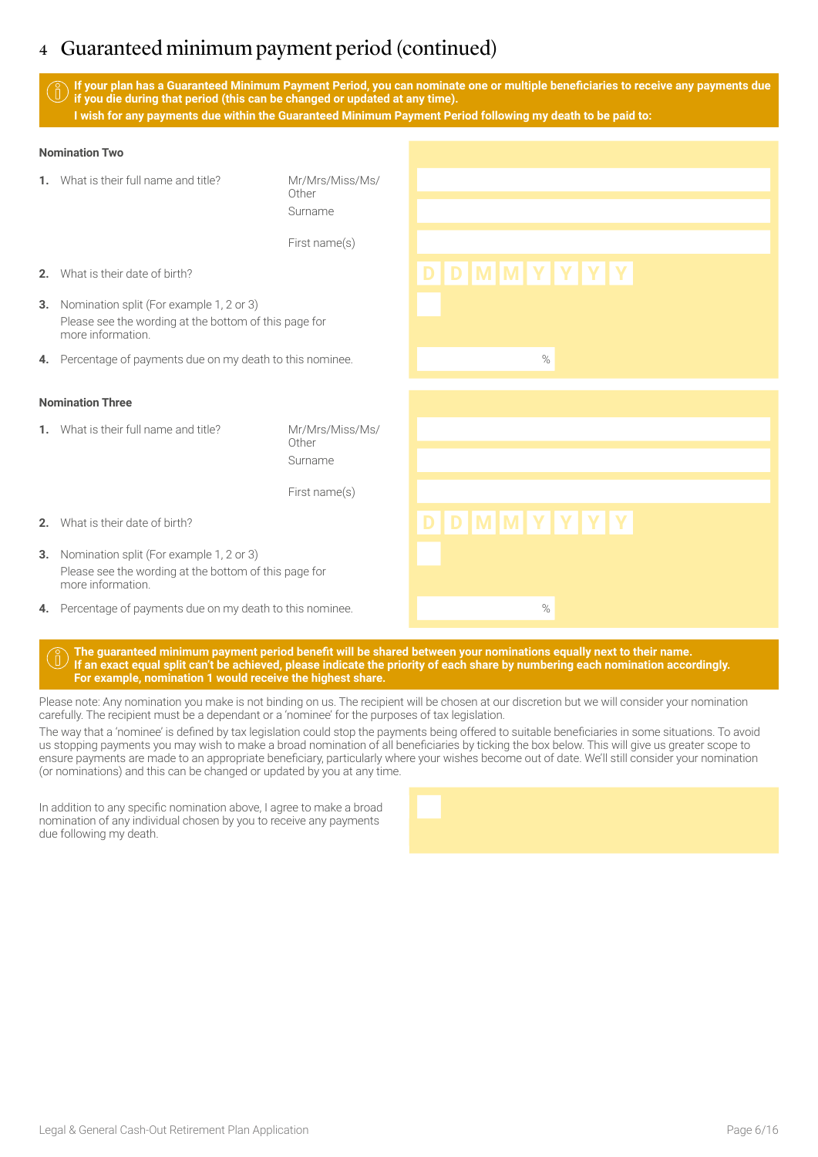### 4 Guaranteed minimum payment period (continued)

**If your plan has a Guaranteed Minimum Payment Period, you can nominate one or multiple beneficiaries to receive any payments due if you die during that period (this can be changed or updated at any time). I wish for any payments due within the Guaranteed Minimum Payment Period following my death to be paid to:**

#### **Nomination Two**

- **1.** What is their full name and title? Mr/Mrs/Miss/Ms/ **Other** Surname First name(s) **2.** What is their date of birth? **D D M M Y Y Y Y 3.** Nomination split (For example 1, 2 or 3) Please see the wording at the bottom of this page for more information. **4.** Percentage of payments due on my death to this nominee.  $\frac{1}{2}$  **1. The state of payments due on my death to this nominee. Nomination Three 1.** What is their full name and title? Mr/Mrs/Miss/Ms/ **Other** Surname First name(s) **2.** What is their date of birth? **D D M M Y Y Y Y 3.** Nomination split (For example 1, 2 or 3) Please see the wording at the bottom of this page for more information. **4.** Percentage of payments due on my death to this nominee.  $\%$ 
	- **The guaranteed minimum payment period benefit will be shared between your nominations equally next to their name. If an exact equal split can't be achieved, please indicate the priority of each share by numbering each nomination accordingly. For example, nomination 1 would receive the highest share.**

Please note: Any nomination you make is not binding on us. The recipient will be chosen at our discretion but we will consider your nomination carefully. The recipient must be a dependant or a 'nominee' for the purposes of tax legislation.

The way that a 'nominee' is defined by tax legislation could stop the payments being offered to suitable beneficiaries in some situations. To avoid us stopping payments you may wish to make a broad nomination of all beneficiaries by ticking the box below. This will give us greater scope to ensure payments are made to an appropriate beneficiary, particularly where your wishes become out of date. We'll still consider your nomination (or nominations) and this can be changed or updated by you at any time.

In addition to any specific nomination above, I agree to make a broad nomination of any individual chosen by you to receive any payments due following my death.

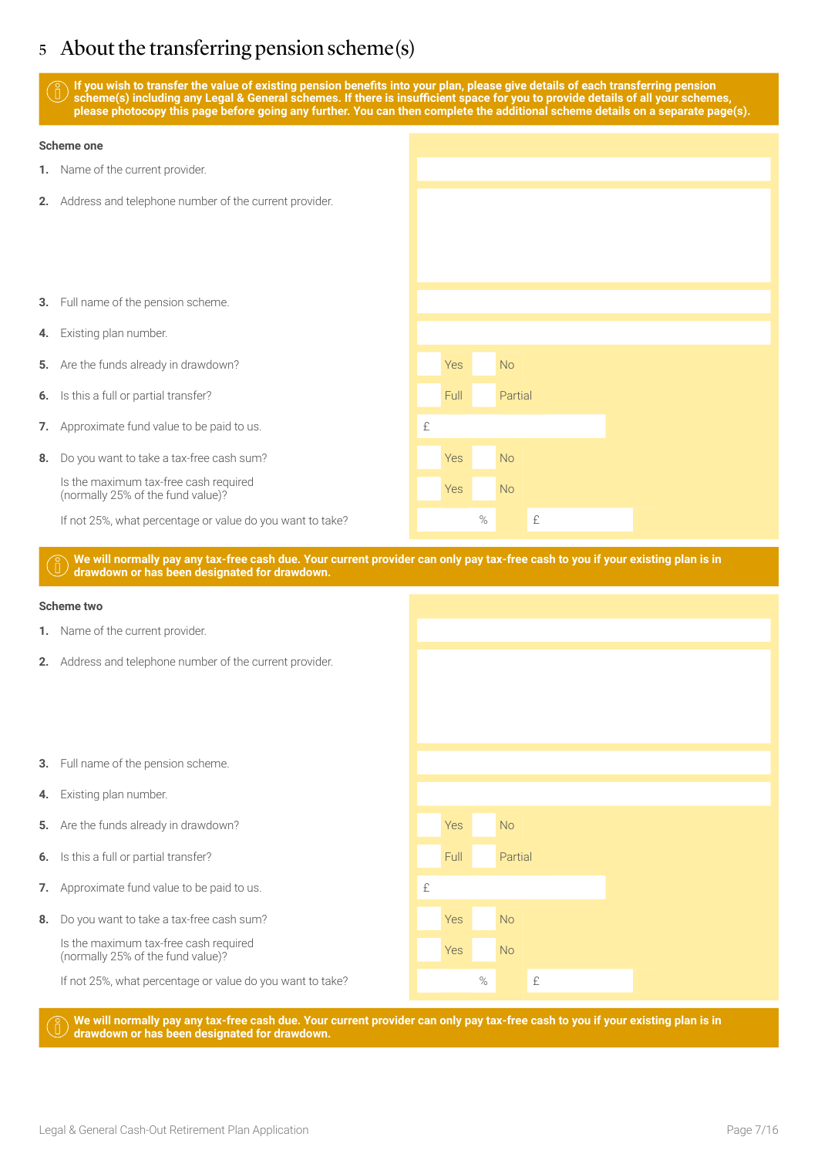### 5 About the transferring pension scheme(s)

**If you wish to transfer the value of existing pension benefits into your plan, please give details of each transferring pension scheme(s) including any Legal & General schemes. If there is insufficient space for you to provide details of all your schemes, please photocopy this page before going any further. You can then complete the additional scheme details on a separate page(s).**

## **Scheme one 1.** Name of the current provider. **2.** Address and telephone number of the current provider. **3.** Full name of the pension scheme. **4.** Existing plan number. **5.** Are the funds already in drawdown? The state of the Second Second Second Second Second Second Second Second Second Second Second Second Second Second Second Second Second Second Second Second Second Second Second Seco **6.** Is this a full or partial transfer? The Community of the Community Partial Partial **7.** Approximate fund value to be paid to us. **8.** Do you want to take a tax-free cash sum? Yes No Is the maximum tax-free cash required Is the maximum tax-liee cash required<br>(normally 25% of the fund value)? If not 25%, what percentage or value do you want to take?  $\blacksquare$  %  $\blacksquare$  £ **We will normally pay any tax-free cash due. Your current provider can only pay tax-free cash to you if your existing plan is in drawdown or has been designated for drawdown. Scheme two 1.** Name of the current provider.

- **2.** Address and telephone number of the current provider.
- **3.** Full name of the pension scheme.
- **4.** Existing plan number.
- **5.** Are the funds already in drawdown? The Contract of the Contract of the North Area North Area North Area North Area North Area North Area North Area North Area North Area North Area North Area North Area North Area Nor
- **6.** Is this a full or partial transfer? The Contraction of the Contraction Partial Partial
- **7.** Approximate fund value to be paid to us.
- **8.** Do you want to take a tax-free cash sum? The state of the Second Vest No. No

Is the maximum tax-free cash required Is the maximum tax-lifee cash required<br>(normally 25% of the fund value)?

If not 25%, what percentage or value do you want to take?  $\blacksquare$  %  $\blacksquare$  £

**We will normally pay any tax-free cash due. Your current provider can only pay tax-free cash to you if your existing plan is in drawdown or has been designated for drawdown.**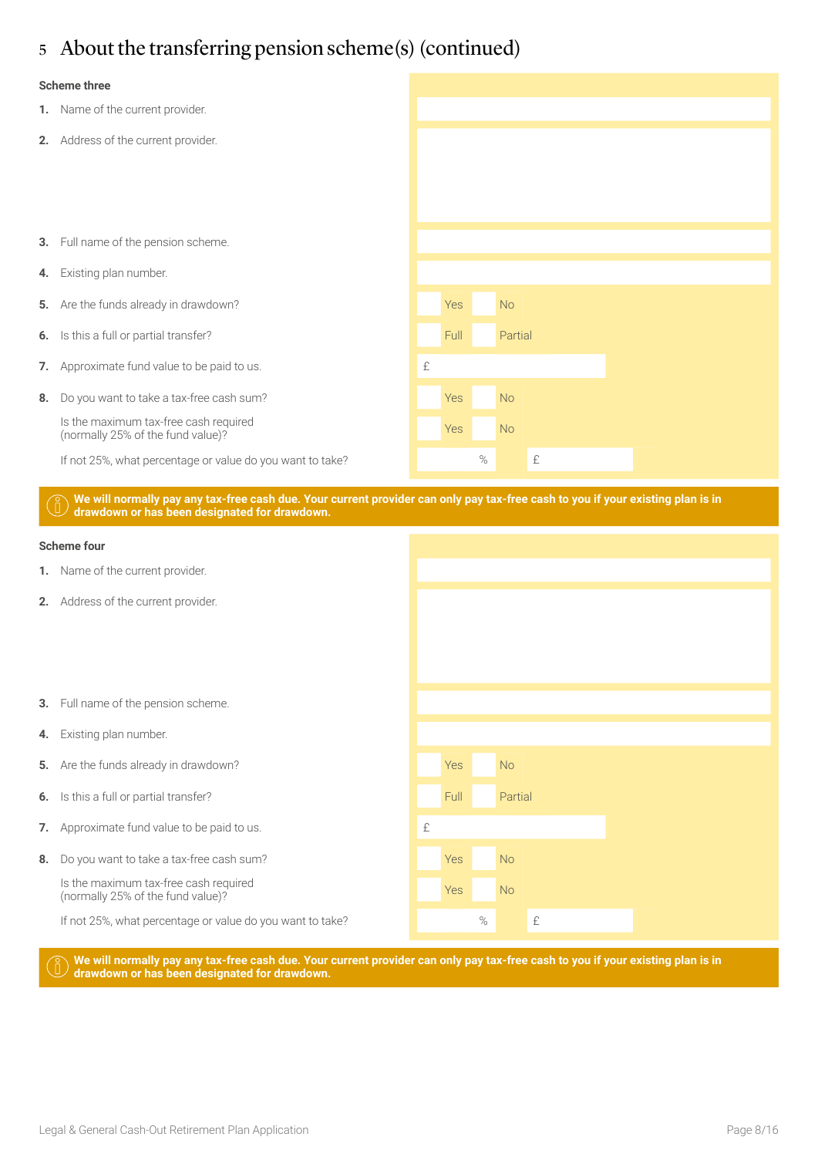### 5 About the transferring pension scheme(s) (continued)

#### **Scheme three**

- **1.** Name of the current provider. **2.** Address of the current provider. **3.** Full name of the pension scheme. **4.** Existing plan number. **5.** Are the funds already in drawdown? **Yes No. 2016** Yes No. 2016 **6.** Is this a full or partial transfer? Full Partial Partial Partial Partial Partial Partial Partial Partial Partial Partial Partial Partial Partial Partial Partial Partial Partial Partial Partial Partial Partial Partial **7.** Approximate fund value to be paid to us. **EXECUTE:**  $\mathbf{f}$ **8.** Do you want to take a tax-free cash sum? The state of the Second Vest No. No Is the maximum tax-free cash required Is the maximum tax-lifee cash required<br>(normally 25% of the fund value)? If not 25%, what percentage or value do you want to take?  $\blacksquare$   $\blacksquare$   $\blacksquare$   $\blacksquare$   $\blacksquare$   $\blacksquare$   $\blacksquare$   $\blacksquare$   $\blacksquare$   $\blacksquare$   $\blacksquare$   $\blacksquare$   $\blacksquare$   $\blacksquare$   $\blacksquare$   $\blacksquare$   $\blacksquare$   $\blacksquare$   $\blacksquare$   $\blacksquare$   $\blacksquare$   $\blacksquare$   $\blacksquare$   $\$ 
	- **We will normally pay any tax-free cash due. Your current provider can only pay tax-free cash to you if your existing plan is in drawdown or has been designated for drawdown.**



**We will normally pay any tax-free cash due. Your current provider can only pay tax-free cash to you if your existing plan is in drawdown or has been designated for drawdown.**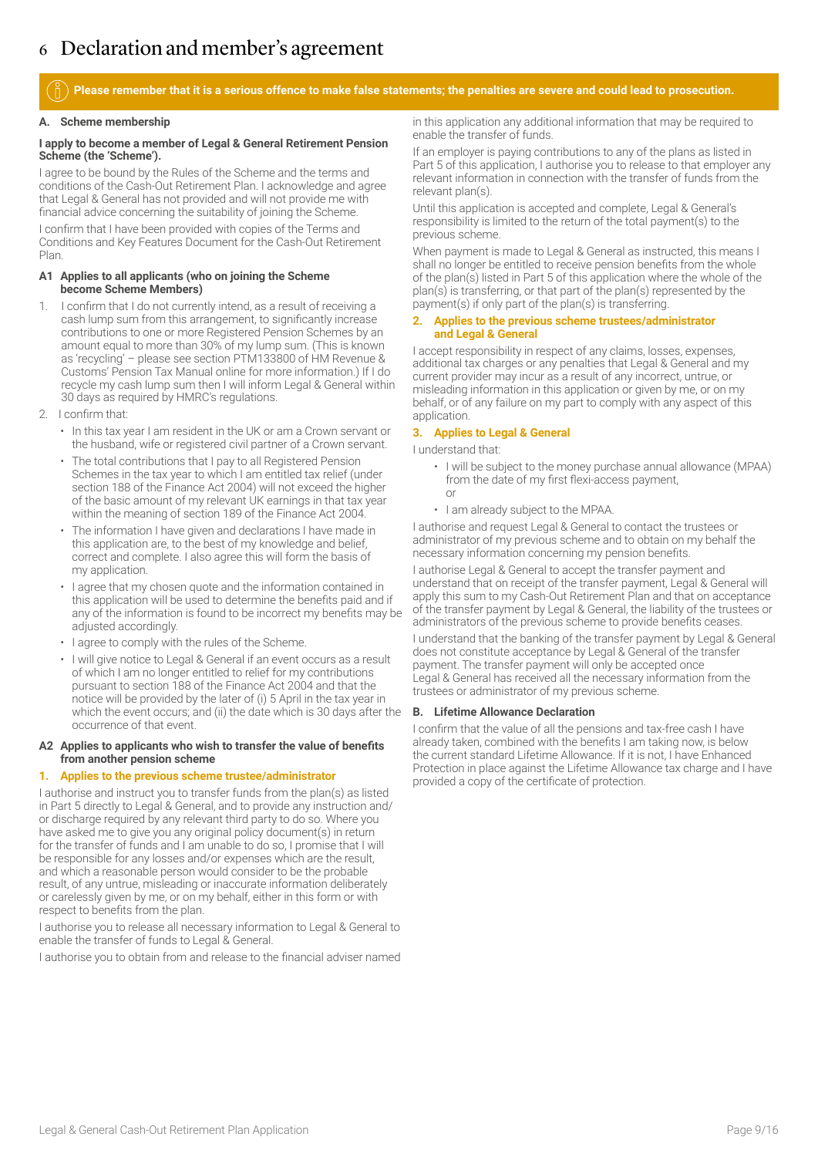### 6 Declaration and member's agreement

**Please remember that it is a serious offence to make false statements; the penalties are severe and could lead to prosecution.**

#### **A. Scheme membership**

#### **I apply to become a member of Legal & General Retirement Pension Scheme (the 'Scheme').**

I agree to be bound by the Rules of the Scheme and the terms and conditions of the Cash-Out Retirement Plan. I acknowledge and agree that Legal & General has not provided and will not provide me with financial advice concerning the suitability of joining the Scheme.

I confirm that I have been provided with copies of the Terms and Conditions and Key Features Document for the Cash-Out Retirement Plan.

#### **A1 Applies to all applicants (who on joining the Scheme become Scheme Members)**

- 1. I confirm that I do not currently intend, as a result of receiving a cash lump sum from this arrangement, to significantly increase contributions to one or more Registered Pension Schemes by an amount equal to more than 30% of my lump sum. (This is known as 'recycling' – please see section PTM133800 of HM Revenue & Customs' Pension Tax Manual online for more information.) If I do recycle my cash lump sum then I will inform Legal & General within 30 days as required by HMRC's regulations.
- 2. I confirm that:
	- In this tax year I am resident in the UK or am a Crown servant or the husband, wife or registered civil partner of a Crown servant.
	- The total contributions that I pay to all Registered Pension Schemes in the tax year to which I am entitled tax relief (under section 188 of the Finance Act 2004) will not exceed the higher of the basic amount of my relevant UK earnings in that tax year within the meaning of section 189 of the Finance Act 2004.
	- The information I have given and declarations I have made in this application are, to the best of my knowledge and belief, correct and complete. I also agree this will form the basis of my application.
	- I agree that my chosen quote and the information contained in this application will be used to determine the benefits paid and if any of the information is found to be incorrect my benefits may be adjusted accordingly.
	- I agree to comply with the rules of the Scheme.
	- I will give notice to Legal & General if an event occurs as a result of which I am no longer entitled to relief for my contributions pursuant to section 188 of the Finance Act 2004 and that the notice will be provided by the later of (i) 5 April in the tax year in which the event occurs; and (ii) the date which is 30 days after the occurrence of that event.

#### **A2 Applies to applicants who wish to transfer the value of benefits from another pension scheme**

#### **1. Applies to the previous scheme trustee/administrator**

I authorise and instruct you to transfer funds from the plan(s) as listed in Part 5 directly to Legal & General, and to provide any instruction and/ or discharge required by any relevant third party to do so. Where you have asked me to give you any original policy document(s) in return for the transfer of funds and I am unable to do so, I promise that I will be responsible for any losses and/or expenses which are the result, and which a reasonable person would consider to be the probable result, of any untrue, misleading or inaccurate information deliberately or carelessly given by me, or on my behalf, either in this form or with respect to benefits from the plan.

I authorise you to release all necessary information to Legal & General to enable the transfer of funds to Legal & General.

I authorise you to obtain from and release to the financial adviser named

in this application any additional information that may be required to enable the transfer of funds.

If an employer is paying contributions to any of the plans as listed in Part 5 of this application, I authorise you to release to that employer any relevant information in connection with the transfer of funds from the relevant plan(s).

Until this application is accepted and complete, Legal & General's responsibility is limited to the return of the total payment(s) to the previous scheme.

When payment is made to Legal & General as instructed, this means I shall no longer be entitled to receive pension benefits from the whole of the plan(s) listed in Part 5 of this application where the whole of the plan(s) is transferring, or that part of the plan(s) represented by the payment(s) if only part of the plan(s) is transferring.

#### **2. Applies to the previous scheme trustees/administrator and Legal & General**

I accept responsibility in respect of any claims, losses, expenses, additional tax charges or any penalties that Legal & General and my current provider may incur as a result of any incorrect, untrue, or misleading information in this application or given by me, or on my behalf, or of any failure on my part to comply with any aspect of this application.

#### **3. Applies to Legal & General**

I understand that:

- I will be subject to the money purchase annual allowance (MPAA) from the date of my first flexi-access payment, or
- I am already subject to the MPAA.

I authorise and request Legal & General to contact the trustees or administrator of my previous scheme and to obtain on my behalf the necessary information concerning my pension benefits.

I authorise Legal & General to accept the transfer payment and understand that on receipt of the transfer payment, Legal & General will apply this sum to my Cash-Out Retirement Plan and that on acceptance of the transfer payment by Legal & General, the liability of the trustees or administrators of the previous scheme to provide benefits ceases.

I understand that the banking of the transfer payment by Legal & General does not constitute acceptance by Legal & General of the transfer payment. The transfer payment will only be accepted once Legal & General has received all the necessary information from the trustees or administrator of my previous scheme.

#### **B. Lifetime Allowance Declaration**

I confirm that the value of all the pensions and tax-free cash I have already taken, combined with the benefits I am taking now, is below the current standard Lifetime Allowance. If it is not, I have Enhanced Protection in place against the Lifetime Allowance tax charge and I have provided a copy of the certificate of protection.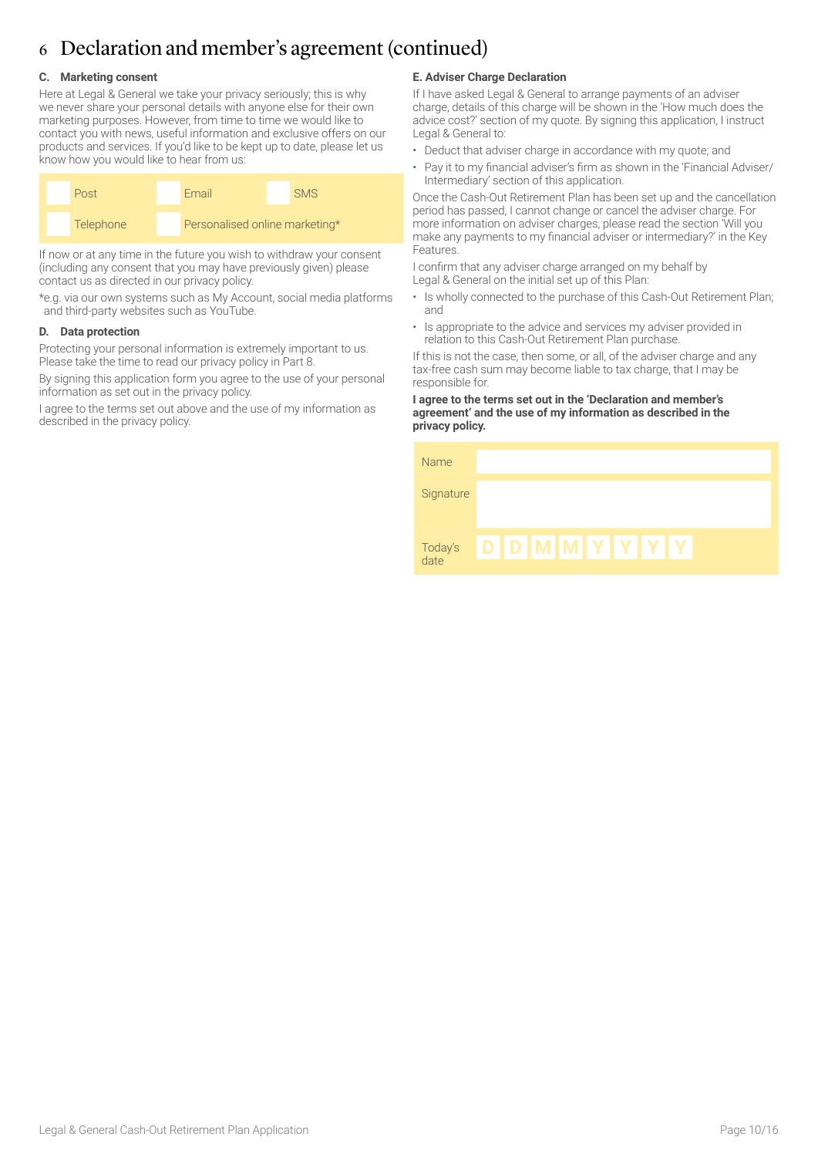### 6 Declaration and member's agreement (continued)

#### **C. Marketing consent**

Here at Legal & General we take your privacy seriously; this is why we never share your personal details with anyone else for their own marketing purposes. However, from time to time we would like to contact you with news, useful information and exclusive offers on our products and services. If you'd like to be kept up to date, please let us know how you would like to hear from us:



If now or at any time in the future you wish to withdraw your consent (including any consent that you may have previously given) please contact us as directed in our privacy policy.

\*e.g. via our own systems such as My Account, social media platforms and third-party websites such as YouTube.

#### **D. Data protection**

Protecting your personal information is extremely important to us. Please take the time to read our privacy policy in Part 8.

By signing this application form you agree to the use of your personal information as set out in the privacy policy.

I agree to the terms set out above and the use of my information as described in the privacy policy.

#### **E. Adviser Charge Declaration**

If I have asked Legal & General to arrange payments of an adviser charge, details of this charge will be shown in the 'How much does the advice cost?' section of my quote. By signing this application, I instruct Legal & General to:

- Deduct that adviser charge in accordance with my quote; and
- Pay it to my financial adviser's firm as shown in the 'Financial Adviser/ Intermediary' section of this application.

Once the Cash-Out Retirement Plan has been set up and the cancellation period has passed, I cannot change or cancel the adviser charge. For more information on adviser charges, please read the section 'Will you make any payments to my financial adviser or intermediary?' in the Key Features.

I confirm that any adviser charge arranged on my behalf by Legal & General on the initial set up of this Plan:

- Is wholly connected to the purchase of this Cash-Out Retirement Plan; and
- Is appropriate to the advice and services my adviser provided in relation to this Cash-Out Retirement Plan purchase.

If this is not the case, then some, or all, of the adviser charge and any tax-free cash sum may become liable to tax charge, that I may be responsible for.

#### **I agree to the terms set out in the 'Declaration and member's agreement' and the use of my information as described in the privacy policy.**

| Signature<br><b>DIDIMIMIYIYIYIY</b> | Name            |  |  |  |  |
|-------------------------------------|-----------------|--|--|--|--|
|                                     |                 |  |  |  |  |
|                                     | Today's<br>date |  |  |  |  |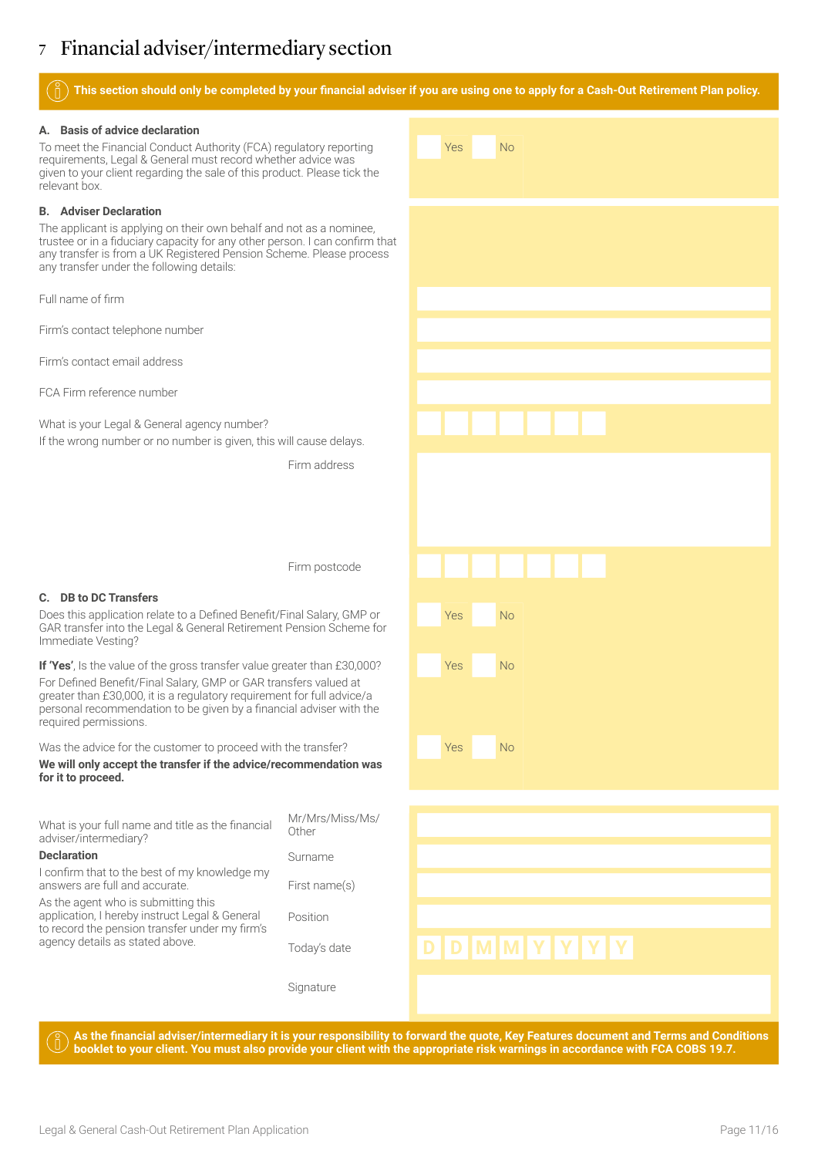### 7 Financial adviser/intermediary section

#### **This section should only be completed by your financial adviser if you are using one to apply for a Cash-Out Retirement Plan policy.**

Yes No

Yes No

Yes No

Yes No

#### **A. Basis of advice declaration**

To meet the Financial Conduct Authority (FCA) regulatory reporting requirements, Legal & General must record whether advice was given to your client regarding the sale of this product. Please tick the relevant box.

#### **B. Adviser Declaration**

The applicant is applying on their own behalf and not as a nominee, trustee or in a fiduciary capacity for any other person. I can confirm that any transfer is from a UK Registered Pension Scheme. Please process any transfer under the following details:

Full name of firm

Firm's contact telephone number

Firm's contact email address

FCA Firm reference number

What is your Legal & General agency number? If the wrong number or no number is given, this will cause delays.

Firm address

Firm postcode

#### **C. DB to DC Transfers**

Does this application relate to a Defined Benefit/Final Salary, GMP or GAR transfer into the Legal & General Retirement Pension Scheme for Immediate Vesting?

**If 'Yes'**, Is the value of the gross transfer value greater than £30,000? For Defined Benefit/Final Salary, GMP or GAR transfers valued at greater than £30,000, it is a regulatory requirement for full advice/a personal recommendation to be given by a financial adviser with the required permissions.

Was the advice for the customer to proceed with the transfer?

**We will only accept the transfer if the advice/recommendation was for it to proceed.** 

| What is your full name and title as the financial<br>adviser/intermediary?                                                              | Mr/Mrs/Miss/Ms/<br>Other |  |
|-----------------------------------------------------------------------------------------------------------------------------------------|--------------------------|--|
| <b>Declaration</b>                                                                                                                      | Surname                  |  |
| I confirm that to the best of my knowledge my<br>answers are full and accurate.                                                         | First name(s)            |  |
| As the agent who is submitting this<br>application, I hereby instruct Legal & General<br>to record the pension transfer under my firm's | Position                 |  |
| agency details as stated above.                                                                                                         | Today's date             |  |
|                                                                                                                                         | Signature                |  |

**As the financial adviser/intermediary it is your responsibility to forward the quote, Key Features document and Terms and Conditions booklet to your client. You must also provide your client with the appropriate risk warnings in accordance with FCA COBS 19.7.**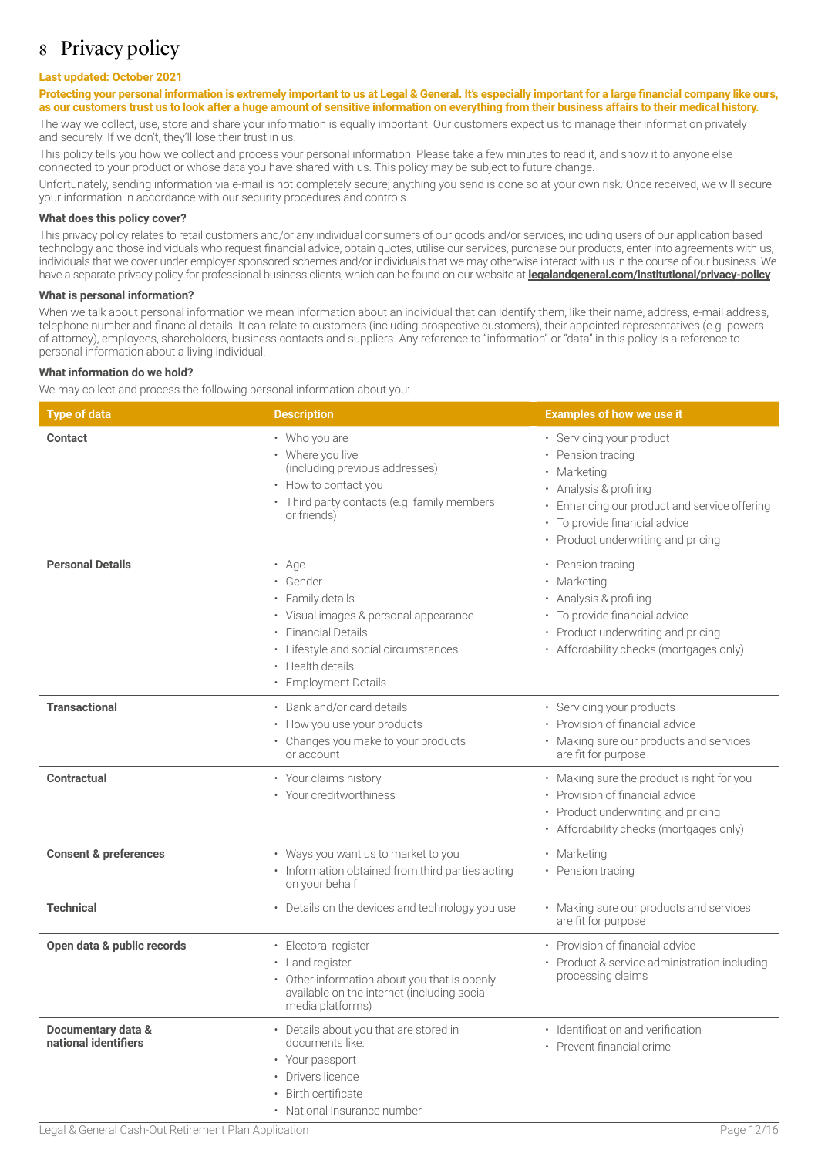### 8 Privacy policy

#### **Last updated: October 2021**

#### Protecting your personal information is extremely important to us at Legal & General. It's especially important for a large financial company like ours, **as our customers trust us to look after a huge amount of sensitive information on everything from their business affairs to their medical history.**

The way we collect, use, store and share your information is equally important. Our customers expect us to manage their information privately and securely. If we don't, they'll lose their trust in us.

This policy tells you how we collect and process your personal information. Please take a few minutes to read it, and show it to anyone else connected to your product or whose data you have shared with us. This policy may be subject to future change.

Unfortunately, sending information via e-mail is not completely secure; anything you send is done so at your own risk. Once received, we will secure your information in accordance with our security procedures and controls.

#### **What does this policy cover?**

This privacy policy relates to retail customers and/or any individual consumers of our goods and/or services, including users of our application based technology and those individuals who request financial advice, obtain quotes, utilise our services, purchase our products, enter into agreements with us, individuals that we cover under employer sponsored schemes and/or individuals that we may otherwise interact with us in the course of our business. We have a separate privacy policy for professional business clients, which can be found on our website at **[legalandgeneral.com/institutional/privacy-policy](http://legalandgeneral.com/institutional/privacy-policy)**.

#### **What is personal information?**

When we talk about personal information we mean information about an individual that can identify them, like their name, address, e-mail address, telephone number and financial details. It can relate to customers (including prospective customers), their appointed representatives (e.g. powers of attorney), employees, shareholders, business contacts and suppliers. Any reference to "information" or "data" in this policy is a reference to personal information about a living individual.

#### **What information do we hold?**

We may collect and process the following personal information about you:

| <b>Type of data</b>                        | <b>Description</b>                                                                                                                                                                        | <b>Examples of how we use it</b>                                                                                                                                                                      |
|--------------------------------------------|-------------------------------------------------------------------------------------------------------------------------------------------------------------------------------------------|-------------------------------------------------------------------------------------------------------------------------------------------------------------------------------------------------------|
| Contact                                    | • Who you are<br>• Where you live<br>(including previous addresses)<br>• How to contact you<br>• Third party contacts (e.g. family members<br>or friends)                                 | • Servicing your product<br>• Pension tracing<br>Marketing<br>Analysis & profiling<br>Enhancing our product and service offering<br>To provide financial advice<br>• Product underwriting and pricing |
| <b>Personal Details</b>                    | • Age<br>• Gender<br>• Family details<br>• Visual images & personal appearance<br>• Financial Details<br>• Lifestyle and social circumstances<br>• Health details<br>• Employment Details | • Pension tracing<br>• Marketing<br>• Analysis & profiling<br>• To provide financial advice<br>• Product underwriting and pricing<br>• Affordability checks (mortgages only)                          |
| <b>Transactional</b>                       | • Bank and/or card details<br>• How you use your products<br>• Changes you make to your products<br>or account                                                                            | · Servicing your products<br>• Provision of financial advice<br>• Making sure our products and services<br>are fit for purpose                                                                        |
| <b>Contractual</b>                         | • Your claims history<br>• Your creditworthiness                                                                                                                                          | • Making sure the product is right for you<br>• Provision of financial advice<br>• Product underwriting and pricing<br>• Affordability checks (mortgages only)                                        |
| <b>Consent &amp; preferences</b>           | • Ways you want us to market to you<br>· Information obtained from third parties acting<br>on your behalf                                                                                 | • Marketing<br>• Pension tracing                                                                                                                                                                      |
| <b>Technical</b>                           | • Details on the devices and technology you use                                                                                                                                           | • Making sure our products and services<br>are fit for purpose                                                                                                                                        |
| Open data & public records                 | · Electoral register<br>• Land register<br>• Other information about you that is openly<br>available on the internet (including social<br>media platforms)                                | • Provision of financial advice<br>• Product & service administration including<br>processing claims                                                                                                  |
| Documentary data &<br>national identifiers | • Details about you that are stored in<br>documents like:<br>• Your passport<br>• Drivers licence<br>· Birth certificate<br>• National Insurance number                                   | · Identification and verification<br>• Prevent financial crime                                                                                                                                        |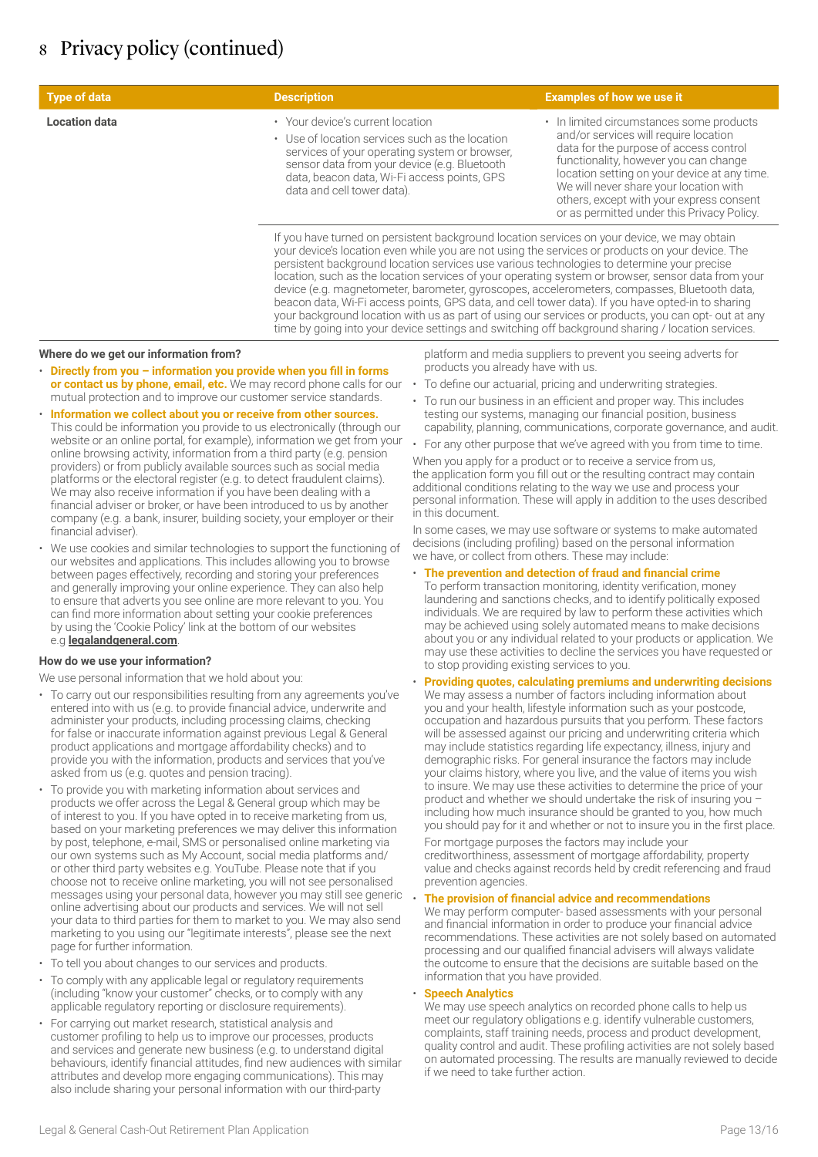| <b>Type of data</b>  | <b>Description</b>                                                                                                                                                                                                                                                                                                                                                                                                                                                                                                                                                                                                                                                                                              | <b>Examples of how we use it</b>                                                                                                                                                                                                                                                                                                                         |  |  |  |  |
|----------------------|-----------------------------------------------------------------------------------------------------------------------------------------------------------------------------------------------------------------------------------------------------------------------------------------------------------------------------------------------------------------------------------------------------------------------------------------------------------------------------------------------------------------------------------------------------------------------------------------------------------------------------------------------------------------------------------------------------------------|----------------------------------------------------------------------------------------------------------------------------------------------------------------------------------------------------------------------------------------------------------------------------------------------------------------------------------------------------------|--|--|--|--|
| <b>Location data</b> | • Your device's current location<br>• Use of location services such as the location<br>services of your operating system or browser.<br>sensor data from your device (e.g. Bluetooth<br>data, beacon data, Wi-Fi access points, GPS<br>data and cell tower data).                                                                                                                                                                                                                                                                                                                                                                                                                                               | • In limited circumstances some products<br>and/or services will require location<br>data for the purpose of access control<br>functionality, however you can change<br>location setting on your device at any time.<br>We will never share your location with<br>others, except with your express consent<br>or as permitted under this Privacy Policy. |  |  |  |  |
|                      | If you have turned on persistent background location services on your device, we may obtain<br>your device's location even while you are not using the services or products on your device. The<br>persistent background location services use various technologies to determine your precise<br>location, such as the location services of your operating system or browser, sensor data from your<br>device (e.g. magnetometer, barometer, gyroscopes, accelerometers, compasses, Bluetooth data,<br>beacon data, Wi-Fi access points, GPS data, and cell tower data). If you have opted-in to sharing<br>your background location with us as part of using our services or products, you can opt- out at any |                                                                                                                                                                                                                                                                                                                                                          |  |  |  |  |

#### **Where do we get our information from?**

- **Directly from you information you provide when you fill in forms or contact us by phone, email, etc.** We may record phone calls for our mutual protection and to improve our customer service standards.
- **Information we collect about you or receive from other sources.** This could be information you provide to us electronically (through our website or an online portal, for example), information we get from your online browsing activity, information from a third party (e.g. pension providers) or from publicly available sources such as social media platforms or the electoral register (e.g. to detect fraudulent claims). We may also receive information if you have been dealing with a financial adviser or broker, or have been introduced to us by another company (e.g. a bank, insurer, building society, your employer or their financial adviser).
- We use cookies and similar technologies to support the functioning of our websites and applications. This includes allowing you to browse between pages effectively, recording and storing your preferences and generally improving your online experience. They can also help to ensure that adverts you see online are more relevant to you. You can find more information about setting your cookie preferences by using the 'Cookie Policy' link at the bottom of our websites e.g **[legalandgeneral.com](http://legalandgeneral.com/privacy-policy/cookies/)**.

#### **How do we use your information?**

We use personal information that we hold about you:

- To carry out our responsibilities resulting from any agreements you've entered into with us (e.g. to provide financial advice, underwrite and administer your products, including processing claims, checking for false or inaccurate information against previous Legal & General product applications and mortgage affordability checks) and to provide you with the information, products and services that you've asked from us (e.g. quotes and pension tracing).
- To provide you with marketing information about services and products we offer across the Legal & General group which may be of interest to you. If you have opted in to receive marketing from us, based on your marketing preferences we may deliver this information by post, telephone, e-mail, SMS or personalised online marketing via our own systems such as My Account, social media platforms and/ or other third party websites e.g. YouTube. Please note that if you choose not to receive online marketing, you will not see personalised messages using your personal data, however you may still see generic online advertising about our products and services. We will not sell your data to third parties for them to market to you. We may also send marketing to you using our "legitimate interests", please see the next page for further information.
- To tell you about changes to our services and products.
- To comply with any applicable legal or regulatory requirements (including "know your customer" checks, or to comply with any applicable regulatory reporting or disclosure requirements).
- For carrying out market research, statistical analysis and customer profiling to help us to improve our processes, products and services and generate new business (e.g. to understand digital behaviours, identify financial attitudes, find new audiences with similar attributes and develop more engaging communications). This may also include sharing your personal information with our third-party

platform and media suppliers to prevent you seeing adverts for products you already have with us.

• To define our actuarial, pricing and underwriting strategies.

time by going into your device settings and switching off background sharing / location services.

- To run our business in an efficient and proper way. This includes testing our systems, managing our financial position, business capability, planning, communications, corporate governance, and audit.
- For any other purpose that we've agreed with you from time to time.

When you apply for a product or to receive a service from us, the application form you fill out or the resulting contract may contain additional conditions relating to the way we use and process your personal information. These will apply in addition to the uses described in this document.

In some cases, we may use software or systems to make automated decisions (including profiling) based on the personal information we have, or collect from others. These may include:

- **The prevention and detection of fraud and financial crime** To perform transaction monitoring, identity verification, money laundering and sanctions checks, and to identify politically exposed individuals. We are required by law to perform these activities which may be achieved using solely automated means to make decisions about you or any individual related to your products or application. We may use these activities to decline the services you have requested or
- to stop providing existing services to you. • **Providing quotes, calculating premiums and underwriting decisions** We may assess a number of factors including information about you and your health, lifestyle information such as your postcode, occupation and hazardous pursuits that you perform. These factors will be assessed against our pricing and underwriting criteria which may include statistics regarding life expectancy, illness, injury and demographic risks. For general insurance the factors may include your claims history, where you live, and the value of items you wish to insure. We may use these activities to determine the price of your product and whether we should undertake the risk of insuring you – including how much insurance should be granted to you, how much you should pay for it and whether or not to insure you in the first place.

For mortgage purposes the factors may include your creditworthiness, assessment of mortgage affordability, property value and checks against records held by credit referencing and fraud prevention agencies.

#### • **The provision of financial advice and recommendations**

We may perform computer- based assessments with your personal and financial information in order to produce your financial advice recommendations. These activities are not solely based on automated processing and our qualified financial advisers will always validate the outcome to ensure that the decisions are suitable based on the information that you have provided.

#### • **Speech Analytics**

We may use speech analytics on recorded phone calls to help us meet our regulatory obligations e.g. identify vulnerable customers, complaints, staff training needs, process and product development, quality control and audit. These profiling activities are not solely based on automated processing. The results are manually reviewed to decide if we need to take further action.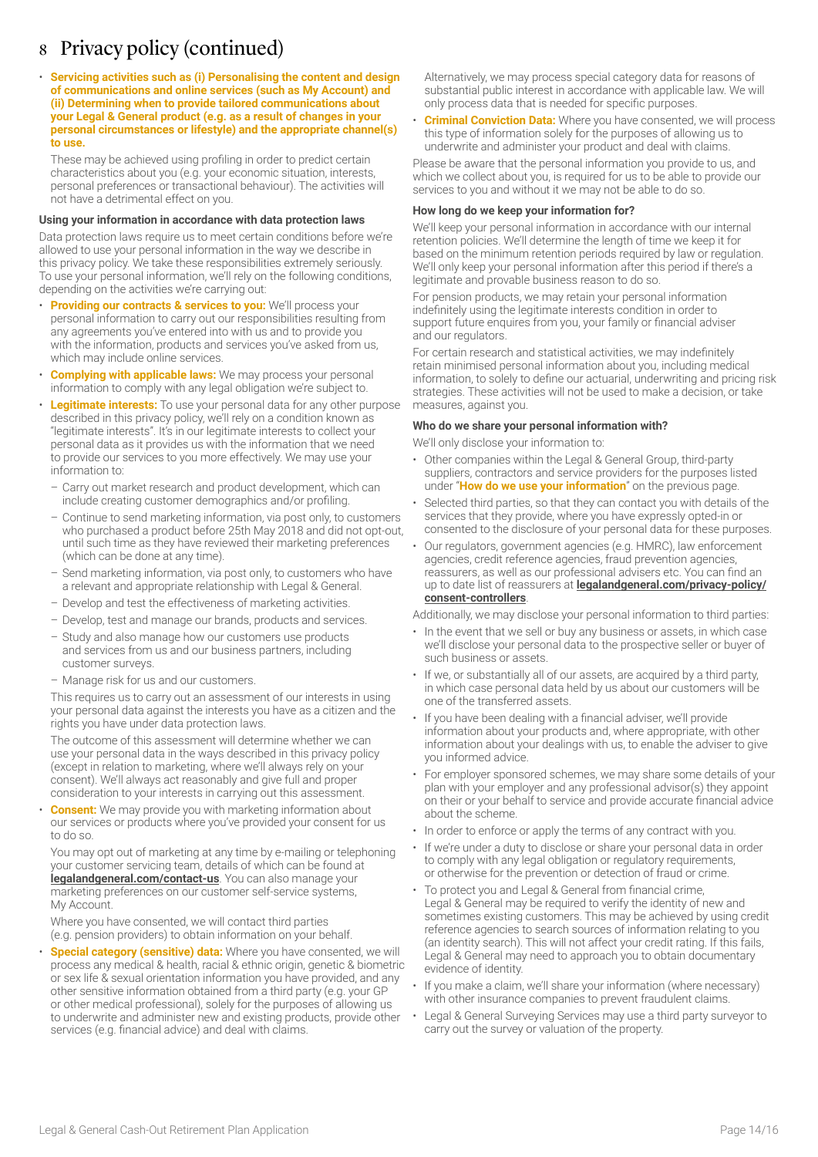• **Servicing activities such as (i) Personalising the content and design of communications and online services (such as My Account) and (ii) Determining when to provide tailored communications about your Legal & General product (e.g. as a result of changes in your personal circumstances or lifestyle) and the appropriate channel(s) to use.**

These may be achieved using profiling in order to predict certain characteristics about you (e.g. your economic situation, interests, personal preferences or transactional behaviour). The activities will not have a detrimental effect on you.

#### **Using your information in accordance with data protection laws**

Data protection laws require us to meet certain conditions before we're allowed to use your personal information in the way we describe in this privacy policy. We take these responsibilities extremely seriously. To use your personal information, we'll rely on the following conditions, depending on the activities we're carrying out:

- **Providing our contracts & services to you:** We'll process your personal information to carry out our responsibilities resulting from any agreements you've entered into with us and to provide you with the information, products and services you've asked from us, which may include online services.
- **Complying with applicable laws:** We may process your personal information to comply with any legal obligation we're subject to.
- **Legitimate interests:** To use your personal data for any other purpose described in this privacy policy, we'll rely on a condition known as "legitimate interests". It's in our legitimate interests to collect your personal data as it provides us with the information that we need to provide our services to you more effectively. We may use your information to:
	- Carry out market research and product development, which can include creating customer demographics and/or profiling.
	- Continue to send marketing information, via post only, to customers who purchased a product before 25th May 2018 and did not opt-out, until such time as they have reviewed their marketing preferences (which can be done at any time).
	- Send marketing information, via post only, to customers who have a relevant and appropriate relationship with Legal & General.
	- Develop and test the effectiveness of marketing activities.
	- Develop, test and manage our brands, products and services.
	- Study and also manage how our customers use products and services from us and our business partners, including customer surveys.
	- Manage risk for us and our customers.

This requires us to carry out an assessment of our interests in using your personal data against the interests you have as a citizen and the rights you have under data protection laws.

The outcome of this assessment will determine whether we can use your personal data in the ways described in this privacy policy (except in relation to marketing, where we'll always rely on your consent). We'll always act reasonably and give full and proper consideration to your interests in carrying out this assessment.

**Consent:** We may provide you with marketing information about our services or products where you've provided your consent for us to do so.

You may opt out of marketing at any time by e-mailing or telephoning your customer servicing team, details of which can be found at **[legalandgeneral.com/contact-us](http://legalandgeneral.com/contact-us)**. You can also manage your marketing preferences on our customer self-service systems, My Account.

Where you have consented, we will contact third parties (e.g. pension providers) to obtain information on your behalf.

• **Special category (sensitive) data:** Where you have consented, we will process any medical & health, racial & ethnic origin, genetic & biometric or sex life & sexual orientation information you have provided, and any other sensitive information obtained from a third party (e.g. your GP or other medical professional), solely for the purposes of allowing us to underwrite and administer new and existing products, provide other services (e.g. financial advice) and deal with claims.

Alternatively, we may process special category data for reasons of substantial public interest in accordance with applicable law. We will only process data that is needed for specific purposes.

• **Criminal Conviction Data:** Where you have consented, we will process this type of information solely for the purposes of allowing us to underwrite and administer your product and deal with claims.

Please be aware that the personal information you provide to us, and which we collect about you, is required for us to be able to provide our services to you and without it we may not be able to do so.

#### **How long do we keep your information for?**

We'll keep your personal information in accordance with our internal retention policies. We'll determine the length of time we keep it for based on the minimum retention periods required by law or regulation. We'll only keep your personal information after this period if there's a legitimate and provable business reason to do so.

For pension products, we may retain your personal information indefinitely using the legitimate interests condition in order to support future enquires from you, your family or financial adviser and our regulators.

For certain research and statistical activities, we may indefinitely retain minimised personal information about you, including medical information, to solely to define our actuarial, underwriting and pricing risk strategies. These activities will not be used to make a decision, or take measures, against you.

#### **Who do we share your personal information with?**

We'll only disclose your information to:

- Other companies within the Legal & General Group, third-party suppliers, contractors and service providers for the purposes listed under "**How do we use your information**" on the previous page.
- Selected third parties, so that they can contact you with details of the services that they provide, where you have expressly opted-in or consented to the disclosure of your personal data for these purposes.
- Our regulators, government agencies (e.g. HMRC), law enforcement agencies, credit reference agencies, fraud prevention agencies, reassurers, as well as our professional advisers etc. You can find an up to date list of reassurers at **[legalandgeneral.com/privacy-policy/](http://legalandgeneral.com/privacy-policy/consent-controllers) [consent-controllers](http://legalandgeneral.com/privacy-policy/consent-controllers)**.

Additionally, we may disclose your personal information to third parties:

- In the event that we sell or buy any business or assets, in which case we'll disclose your personal data to the prospective seller or buyer of such business or assets.
- If we, or substantially all of our assets, are acquired by a third party, in which case personal data held by us about our customers will be one of the transferred assets.
- If you have been dealing with a financial adviser, we'll provide information about your products and, where appropriate, with other information about your dealings with us, to enable the adviser to give you informed advice.
- For employer sponsored schemes, we may share some details of your plan with your employer and any professional advisor(s) they appoint on their or your behalf to service and provide accurate financial advice about the scheme.
- In order to enforce or apply the terms of any contract with you.
- If we're under a duty to disclose or share your personal data in order to comply with any legal obligation or regulatory requirements, or otherwise for the prevention or detection of fraud or crime.
- To protect you and Legal & General from financial crime, Legal & General may be required to verify the identity of new and sometimes existing customers. This may be achieved by using credit reference agencies to search sources of information relating to you (an identity search). This will not affect your credit rating. If this fails, Legal & General may need to approach you to obtain documentary evidence of identity.
- If you make a claim, we'll share your information (where necessary) with other insurance companies to prevent fraudulent claims.
- Legal & General Surveying Services may use a third party surveyor to carry out the survey or valuation of the property.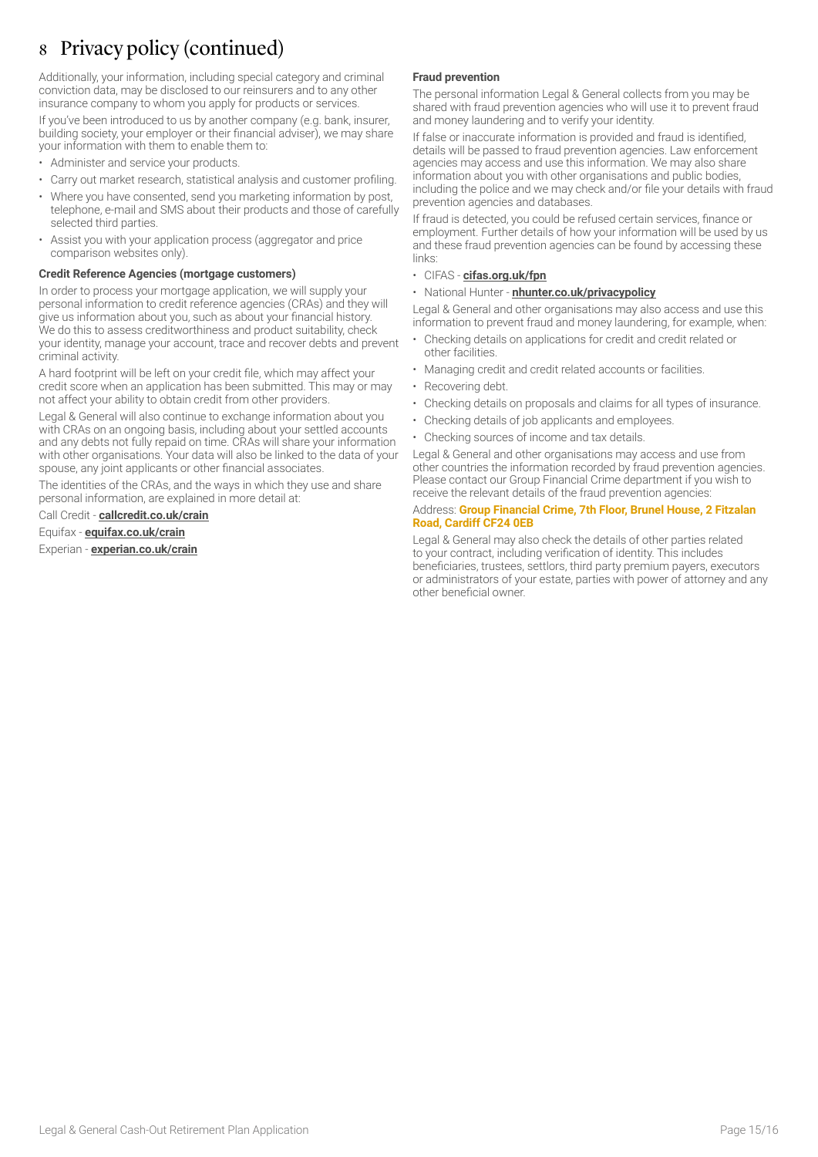Additionally, your information, including special category and criminal conviction data, may be disclosed to our reinsurers and to any other insurance company to whom you apply for products or services.

If you've been introduced to us by another company (e.g. bank, insurer, building society, your employer or their financial adviser), we may share your information with them to enable them to:

- Administer and service your products.
- Carry out market research, statistical analysis and customer profiling.
- Where you have consented, send you marketing information by post, telephone, e-mail and SMS about their products and those of carefully selected third parties.
- Assist you with your application process (aggregator and price comparison websites only).

#### **Credit Reference Agencies (mortgage customers)**

In order to process your mortgage application, we will supply your personal information to credit reference agencies (CRAs) and they will give us information about you, such as about your financial history. We do this to assess creditworthiness and product suitability, check your identity, manage your account, trace and recover debts and prevent criminal activity.

A hard footprint will be left on your credit file, which may affect your credit score when an application has been submitted. This may or may not affect your ability to obtain credit from other providers.

Legal & General will also continue to exchange information about you with CRAs on an ongoing basis, including about your settled accounts and any debts not fully repaid on time. CRAs will share your information with other organisations. Your data will also be linked to the data of your spouse, any joint applicants or other financial associates.

The identities of the CRAs, and the ways in which they use and share personal information, are explained in more detail at:

Call Credit - **[callcredit.co.uk/crain](http://www.callcredit.co.uk/crain)**

Equifax - **[equifax.co.uk/crain](http://www.equifax.co.uk/crain)**

Experian - **[experian.co.uk/crain](http://www.experian.co.uk/crain)**

#### **Fraud prevention**

The personal information Legal & General collects from you may be shared with fraud prevention agencies who will use it to prevent fraud and money laundering and to verify your identity.

If false or inaccurate information is provided and fraud is identified, details will be passed to fraud prevention agencies. Law enforcement agencies may access and use this information. We may also share information about you with other organisations and public bodies, including the police and we may check and/or file your details with fraud prevention agencies and databases.

If fraud is detected, you could be refused certain services, finance or employment. Further details of how your information will be used by us and these fraud prevention agencies can be found by accessing these links:

#### • CIFAS - **[cifas.org.uk/fpn](http://cifas.org.uk/fpn)**

#### • National Hunter - **[nhunter.co.uk/privacypolicy](http://nhunter.co.uk/privacypolicy)**

Legal & General and other organisations may also access and use this information to prevent fraud and money laundering, for example, when:

- Checking details on applications for credit and credit related or other facilities.
- Managing credit and credit related accounts or facilities.
- Recovering debt.
- Checking details on proposals and claims for all types of insurance.
- Checking details of job applicants and employees.
- Checking sources of income and tax details.

Legal & General and other organisations may access and use from other countries the information recorded by fraud prevention agencies. Please contact our Group Financial Crime department if you wish to receive the relevant details of the fraud prevention agencies:

#### Address: **Group Financial Crime, 7th Floor, Brunel House, 2 Fitzalan Road, Cardiff CF24 0EB**

Legal & General may also check the details of other parties related to your contract, including verification of identity. This includes beneficiaries, trustees, settlors, third party premium payers, executors or administrators of your estate, parties with power of attorney and any other beneficial owner.